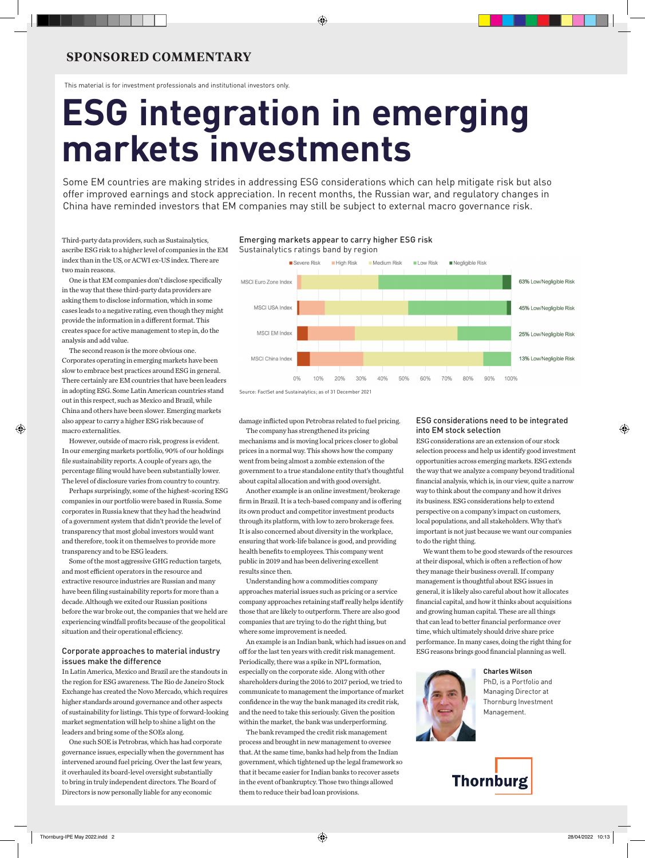### **SPONSORED COMMENTARY**

This material is for investment professionals and institutional investors only.

# **ESG integration in emerging markets investments**

Some EM countries are making strides in addressing ESG considerations which can help mitigate risk but also offer improved earnings and stock appreciation. In recent months, the Russian war, and regulatory changes in China have reminded investors that EM companies may still be subject to external macro governance risk.

Third-party data providers, such as Sustainalytics, ascribe ESG risk to a higher level of companies in the EM index than in the US, or ACWI ex-US index. There are two main reasons.

One is that EM companies don't disclose specifically in the way that these third-party data providers are asking them to disclose information, which in some cases leads to a negative rating, even though they might provide the information in a different format. This creates space for active management to step in, do the analysis and add value.

The second reason is the more obvious one. Corporates operating in emerging markets have been slow to embrace best practices around ESG in general. There certainly are EM countries that have been leaders in adopting ESG. Some Latin American countries stand out in this respect, such as Mexico and Brazil, while China and others have been slower. Emerging markets also appear to carry a higher ESG risk because of macro externalities.

However, outside of macro risk, progress is evident. In our emerging markets portfolio, 90% of our holdings file sustainability reports. A couple of years ago, the percentage filing would have been substantially lower. The level of disclosure varies from country to country.

Perhaps surprisingly, some of the highest-scoring ESG companies in our portfolio were based in Russia. Some corporates in Russia knew that they had the headwind of a government system that didn't provide the level of transparency that most global investors would want and therefore, took it on themselves to provide more transparency and to be ESG leaders.

Some of the most aggressive GHG reduction targets, and most efficient operators in the resource and extractive resource industries are Russian and many have been filing sustainability reports for more than a decade. Although we exited our Russian positions before the war broke out, the companies that we held are experiencing windfall profits because of the geopolitical situation and their operational efficiency.

#### Corporate approaches to material industry issues make the difference

In Latin America, Mexico and Brazil are the standouts in the region for ESG awareness. The Rio de Janeiro Stock Exchange has created the Novo Mercado, which requires higher standards around governance and other aspects of sustainability for listings. This type of forward-looking market segmentation will help to shine a light on the leaders and bring some of the SOEs along.

One such SOE is Petrobras, which has had corporate governance issues, especially when the government has intervened around fuel pricing. Over the last few years, it overhauled its board-level oversight substantially to bring in truly independent directors. The Board of Directors is now personally liable for any economic





Source: FactSet and Sustainalytics; as of 31 December 2021

damage inflicted upon Petrobras related to fuel pricing.

The company has strengthened its pricing mechanisms and is moving local prices closer to global prices in a normal way. This shows how the company went from being almost a zombie extension of the government to a true standalone entity that's thoughtful about capital allocation and with good oversight.

Another example is an online investment/brokerage firm in Brazil. It is a tech-based company and is offering its own product and competitor investment products through its platform, with low to zero brokerage fees. It is also concerned about diversity in the workplace, ensuring that work-life balance is good, and providing health benefits to employees. This company went public in 2019 and has been delivering excellent results since then.

Understanding how a commodities company approaches material issues such as pricing or a service company approaches retaining staff really helps identify those that are likely to outperform. There are also good companies that are trying to do the right thing, but where some improvement is needed.

An example is an Indian bank, which had issues on and off for the last ten years with credit risk management. Periodically, there was a spike in NPL formation, especially on the corporate side. Along with other shareholders during the 2016 to 2017 period, we tried to communicate to management the importance of market confidence in the way the bank managed its credit risk, and the need to take this seriously. Given the position within the market, the bank was underperforming.

The bank revamped the credit risk management process and brought in new management to oversee that. At the same time, banks had help from the Indian government, which tightened up the legal framework so that it became easier for Indian banks to recover assets in the event of bankruptcy. Those two things allowed them to reduce their bad loan provisions.

#### ESG considerations need to be integrated into EM stock selection

ESG considerations are an extension of our stock selection process and help us identify good investment opportunities across emerging markets. ESG extends the way that we analyze a company beyond traditional financial analysis, which is, in our view, quite a narrow way to think about the company and how it drives its business. ESG considerations help to extend perspective on a company's impact on customers, local populations, and all stakeholders. Why that's important is not just because we want our companies to do the right thing.

We want them to be good stewards of the resources at their disposal, which is often a reflection of how they manage their business overall. If company management is thoughtful about ESG issues in general, it is likely also careful about how it allocates financial capital, and how it thinks about acquisitions and growing human capital. These are all things that can lead to better financial performance over time, which ultimately should drive share price performance. In many cases, doing the right thing for ESG reasons brings good financial planning as well.





PhD, is a Portfolio and Managing Director at Thornburg Investment Management.